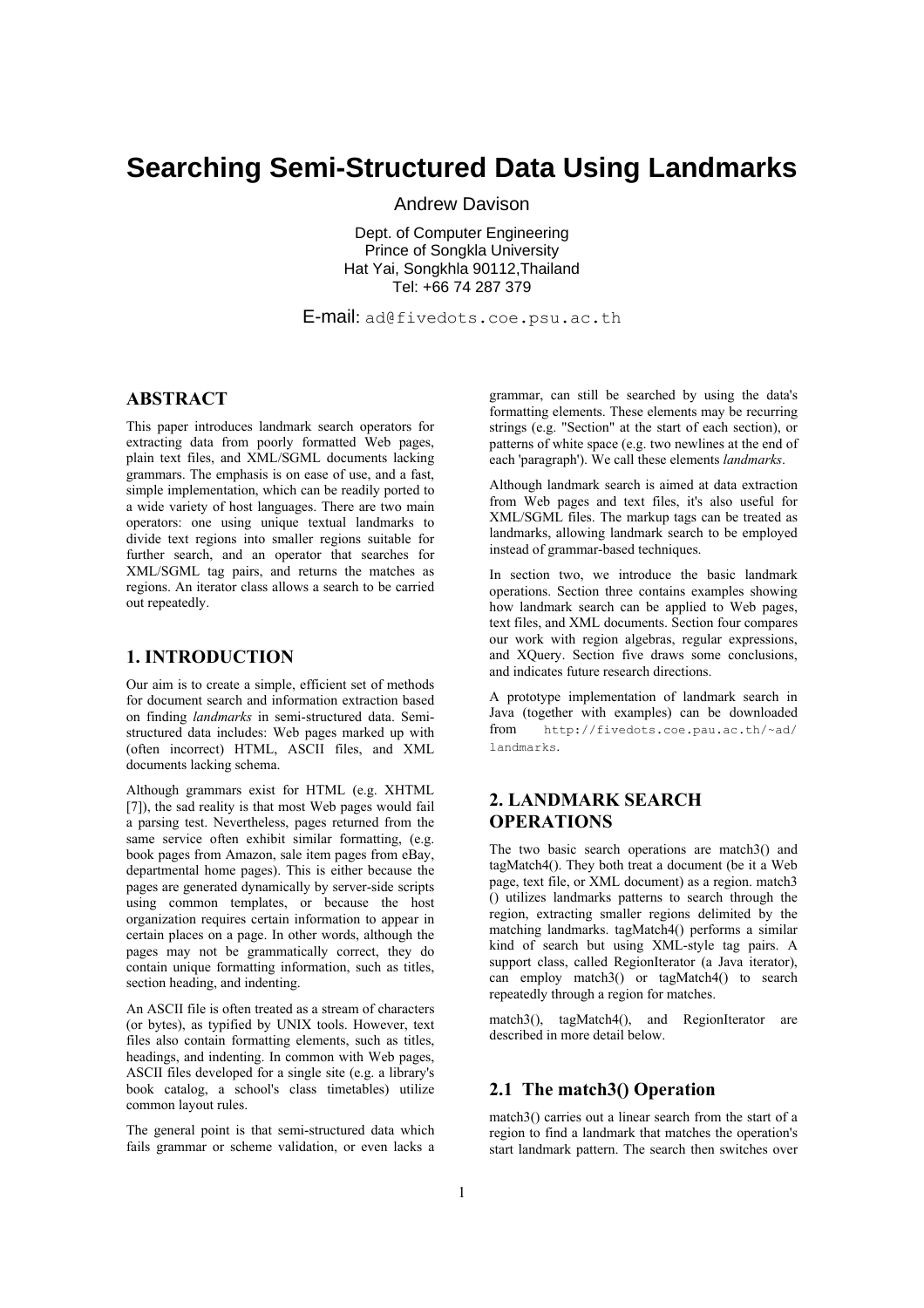# **Searching Semi-Structured Data Using Landmarks**

Andrew Davison

Dept. of Computer Engineering Prince of Songkla University Hat Yai, Songkhla 90112,Thailand Tel: +66 74 287 379

E-mail: ad@fivedots.coe.psu.ac.th

### **ABSTRACT**

This paper introduces landmark search operators for extracting data from poorly formatted Web pages, plain text files, and XML/SGML documents lacking grammars. The emphasis is on ease of use, and a fast, simple implementation, which can be readily ported to a wide variety of host languages. There are two main operators: one using unique textual landmarks to divide text regions into smaller regions suitable for further search, and an operator that searches for XML/SGML tag pairs, and returns the matches as regions. An iterator class allows a search to be carried out repeatedly.

## **1. INTRODUCTION**

Our aim is to create a simple, efficient set of methods for document search and information extraction based on finding *landmarks* in semi-structured data. Semistructured data includes: Web pages marked up with (often incorrect) HTML, ASCII files, and XML documents lacking schema.

Although grammars exist for HTML (e.g. XHTML [7]), the sad reality is that most Web pages would fail a parsing test. Nevertheless, pages returned from the same service often exhibit similar formatting, (e.g. book pages from Amazon, sale item pages from eBay, departmental home pages). This is either because the pages are generated dynamically by server-side scripts using common templates, or because the host organization requires certain information to appear in certain places on a page. In other words, although the pages may not be grammatically correct, they do contain unique formatting information, such as titles, section heading, and indenting.

An ASCII file is often treated as a stream of characters (or bytes), as typified by UNIX tools. However, text files also contain formatting elements, such as titles, headings, and indenting. In common with Web pages, ASCII files developed for a single site (e.g. a library's book catalog, a school's class timetables) utilize common layout rules.

The general point is that semi-structured data which fails grammar or scheme validation, or even lacks a

grammar, can still be searched by using the data's formatting elements. These elements may be recurring strings (e.g. "Section" at the start of each section), or patterns of white space (e.g. two newlines at the end of each 'paragraph'). We call these elements *landmarks*.

Although landmark search is aimed at data extraction from Web pages and text files, it's also useful for XML/SGML files. The markup tags can be treated as landmarks, allowing landmark search to be employed instead of grammar-based techniques.

In section two, we introduce the basic landmark operations. Section three contains examples showing how landmark search can be applied to Web pages, text files, and XML documents. Section four compares our work with region algebras, regular expressions, and XQuery. Section five draws some conclusions, and indicates future research directions.

A prototype implementation of landmark search in Java (together with examples) can be downloaded from http://fivedots.coe.pau.ac.th/~ad/ landmarks.

# **2. LANDMARK SEARCH OPERATIONS**

The two basic search operations are match3() and tagMatch4(). They both treat a document (be it a Web page, text file, or XML document) as a region. match3 () utilizes landmarks patterns to search through the region, extracting smaller regions delimited by the matching landmarks. tagMatch4() performs a similar kind of search but using XML-style tag pairs. A support class, called RegionIterator (a Java iterator), can employ match3() or tagMatch4() to search repeatedly through a region for matches.

match3(), tagMatch4(), and RegionIterator are described in more detail below.

## **2.1 The match3() Operation**

match3() carries out a linear search from the start of a region to find a landmark that matches the operation's start landmark pattern. The search then switches over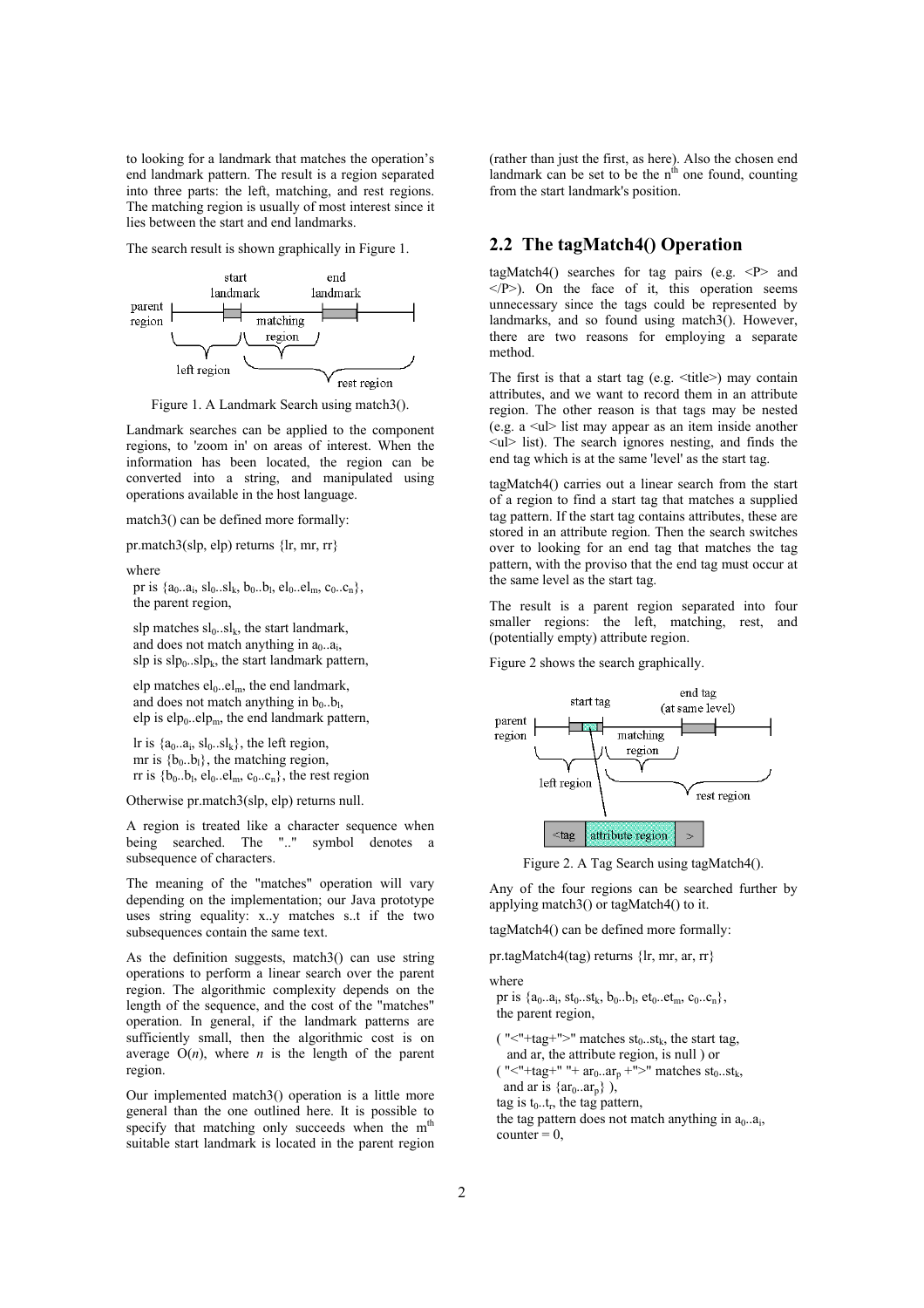to looking for a landmark that matches the operation's end landmark pattern. The result is a region separated into three parts: the left, matching, and rest regions. The matching region is usually of most interest since it lies between the start and end landmarks.

The search result is shown graphically in Figure 1.



Figure 1. A Landmark Search using match3().

Landmark searches can be applied to the component regions, to 'zoom in' on areas of interest. When the information has been located, the region can be converted into a string, and manipulated using operations available in the host language.

match3() can be defined more formally:

pr.match3(slp, elp) returns {lr, mr, rr}

#### where

pr is  $\{a_0..a_i, sl_0..sl_k, b_0..b_l, el_0..el_m, c_0..c_n\}$ the parent region,

slp matches  $sl_0..sl_k$ , the start landmark, and does not match anything in  $a_0$ ... $a_i$ , slp is  $slp_0..slp_k$ , the start landmark pattern,

elp matches  $el_0$ .. $el_m$ , the end landmark, and does not match anything in  $b_0..b_l$ , elp is elp $_{0}$ ..elp<sub>m</sub>, the end landmark pattern,

lr is  $\{a_0..a_i, sl_0..sl_k\}$ , the left region, mr is  ${b_0,b_1}$ , the matching region, rr is  ${b_0..b_l, el_0..el_m, c_0..c_n}$ , the rest region

Otherwise pr.match3(slp, elp) returns null.

A region is treated like a character sequence when being searched. The ".." symbol denotes a subsequence of characters.

The meaning of the "matches" operation will vary depending on the implementation; our Java prototype uses string equality: x..y matches s..t if the two subsequences contain the same text.

As the definition suggests, match3() can use string operations to perform a linear search over the parent region. The algorithmic complexity depends on the length of the sequence, and the cost of the "matches" operation. In general, if the landmark patterns are sufficiently small, then the algorithmic cost is on average  $O(n)$ , where *n* is the length of the parent region.

Our implemented match3() operation is a little more general than the one outlined here. It is possible to specify that matching only succeeds when the m<sup>th</sup> suitable start landmark is located in the parent region (rather than just the first, as here). Also the chosen end landmark can be set to be the  $n<sup>th</sup>$  one found, counting from the start landmark's position.

#### **2.2 The tagMatch4() Operation**

tagMatch4() searches for tag pairs (e.g. <P> and  $\langle P \rangle$ ). On the face of it, this operation seems unnecessary since the tags could be represented by landmarks, and so found using match3(). However, there are two reasons for employing a separate method.

The first is that a start tag (e.g.  $ltitle$ ) may contain attributes, and we want to record them in an attribute region. The other reason is that tags may be nested (e.g.  $a \leq u$  list may appear as an item inside another <ul> list). The search ignores nesting, and finds the end tag which is at the same 'level' as the start tag.

tagMatch4() carries out a linear search from the start of a region to find a start tag that matches a supplied tag pattern. If the start tag contains attributes, these are stored in an attribute region. Then the search switches over to looking for an end tag that matches the tag pattern, with the proviso that the end tag must occur at the same level as the start tag.

The result is a parent region separated into four smaller regions: the left, matching, rest, and (potentially empty) attribute region.

Figure 2 shows the search graphically.



Figure 2. A Tag Search using tagMatch4().

Any of the four regions can be searched further by applying match3() or tagMatch4() to it.

tagMatch4() can be defined more formally:

pr.tagMatch4(tag) returns {lr, mr, ar, rr}

where

pr is  $\{a_0..a_i, st_0..st_k, b_0..b_l, et_0..et_m, c_0..c_n\}$ , the parent region,

( "<"+tag+">" matches  $st_0..st_k$ , the start tag, and ar, the attribute region, is null ) or ( "<"+tag+" "+  $ar_0.ar_n$ +">" matches  $st_0.st_k$ , and ar is  $\{ar_0.ar_p\}$ ), tag is  $t_0$ ... $t_r$ , the tag pattern, the tag pattern does not match anything in  $a_0 \cdot a_i$ ,  $\text{counter} = 0$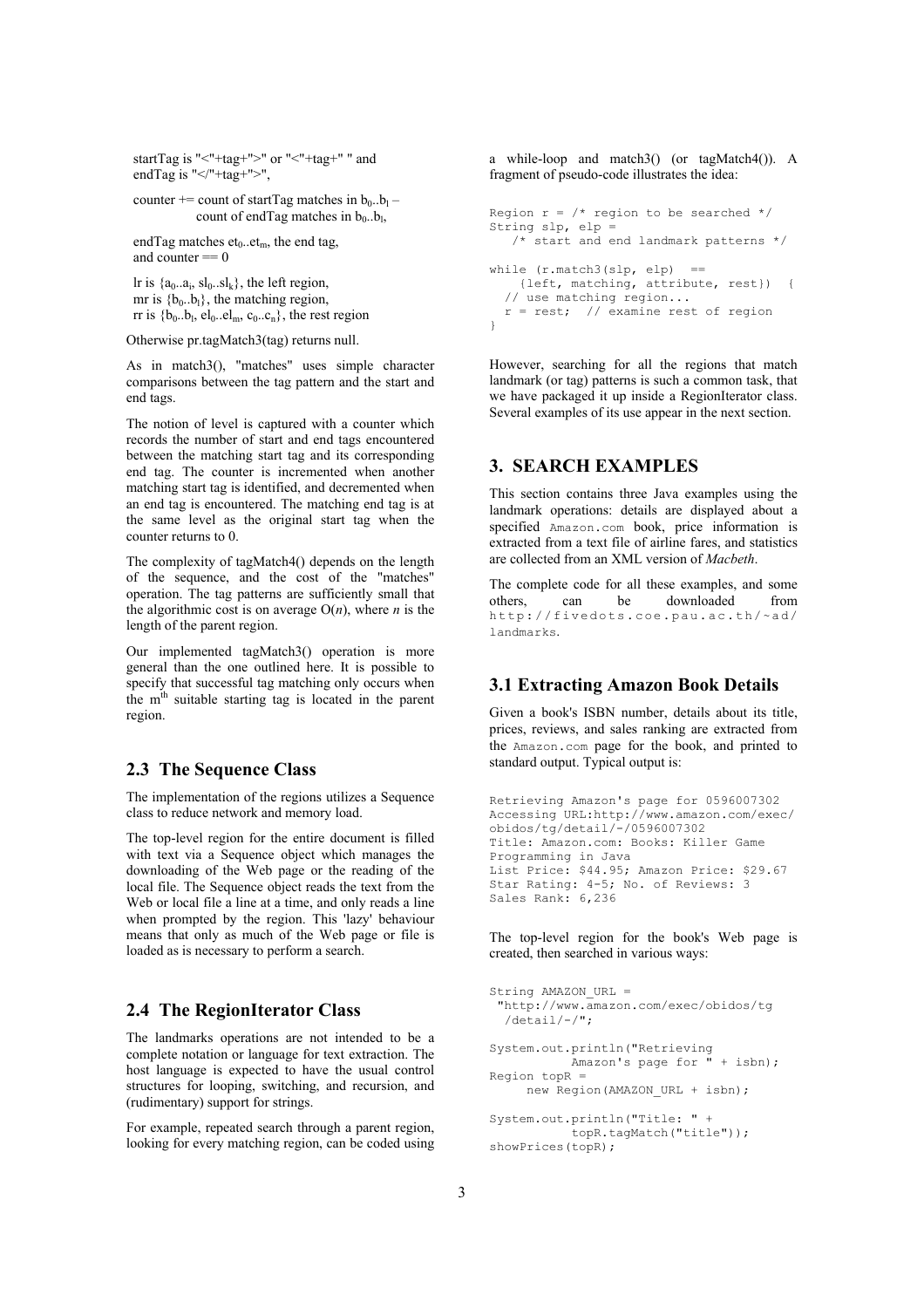startTag is "<"+tag+">" or "<"+tag+" " and endTag is " $\le$ /"+tag+">",

counter += count of startTag matches in  $b_0..b_1$  – count of endTag matches in  $b_0..b_l$ ,

endTag matches  $et_0.let_m$ , the end tag, and counter  $== 0$ 

lr is  $\{a_0, a_i, sl_0, sl_k\}$ , the left region, mr is  ${b_0,b_1}$ , the matching region, rr is  ${b_0,b_1, el_0..el_m, c_0..c_n}$ , the rest region

Otherwise pr.tagMatch3(tag) returns null.

As in match3(), "matches" uses simple character comparisons between the tag pattern and the start and end tags.

The notion of level is captured with a counter which records the number of start and end tags encountered between the matching start tag and its corresponding end tag. The counter is incremented when another matching start tag is identified, and decremented when an end tag is encountered. The matching end tag is at the same level as the original start tag when the counter returns to 0.

The complexity of tagMatch4() depends on the length of the sequence, and the cost of the "matches" operation. The tag patterns are sufficiently small that the algorithmic cost is on average  $O(n)$ , where *n* is the length of the parent region.

Our implemented tagMatch3() operation is more general than the one outlined here. It is possible to specify that successful tag matching only occurs when the m<sup>th</sup> suitable starting tag is located in the parent region.

#### **2.3 The Sequence Class**

The implementation of the regions utilizes a Sequence class to reduce network and memory load.

The top-level region for the entire document is filled with text via a Sequence object which manages the downloading of the Web page or the reading of the local file. The Sequence object reads the text from the Web or local file a line at a time, and only reads a line when prompted by the region. This 'lazy' behaviour means that only as much of the Web page or file is loaded as is necessary to perform a search.

#### **2.4 The RegionIterator Class**

The landmarks operations are not intended to be a complete notation or language for text extraction. The host language is expected to have the usual control structures for looping, switching, and recursion, and (rudimentary) support for strings.

For example, repeated search through a parent region, looking for every matching region, can be coded using a while-loop and match3() (or tagMatch4()). A fragment of pseudo-code illustrates the idea:

```
Region r = \frac{1}{x} region to be searched */
String slp, elp =
   /* start and end landmark patterns */
while (r.\text{match3}(slp, elp) == {left, matching, attribute, rest}) {
   // use matching region...
  r = rest; // examine rest of region
}
```
However, searching for all the regions that match landmark (or tag) patterns is such a common task, that we have packaged it up inside a RegionIterator class. Several examples of its use appear in the next section.

# **3. SEARCH EXAMPLES**

This section contains three Java examples using the landmark operations: details are displayed about a specified Amazon.com book, price information is extracted from a text file of airline fares, and statistics are collected from an XML version of *Macbeth*.

The complete code for all these examples, and some others, can be downloaded from http://fivedots.coe.pau.ac.th/~ad/ landmarks.

#### **3.1 Extracting Amazon Book Details**

Given a book's ISBN number, details about its title, prices, reviews, and sales ranking are extracted from the Amazon.com page for the book, and printed to standard output. Typical output is:

```
Retrieving Amazon's page for 0596007302
Accessing URL:http://www.amazon.com/exec/
obidos/tg/detail/-/0596007302
Title: Amazon.com: Books: Killer Game
Programming in Java
List Price: $44.95; Amazon Price: $29.67
Star Rating: 4-5; No. of Reviews: 3
Sales Rank: 6,236
```
The top-level region for the book's Web page is created, then searched in various ways:

```
String AMAZON URL =
  "http://www.amazon.com/exec/obidos/tg
  /\text{detail}/-\text{/}";
System.out.println("Retrieving
 Amazon's page for " + isbn);
Region topR =new Region(AMAZON URL + isbn);
System.out.println("Title: " +
            topR.tagMatch("title"));
showPrices(topR);
```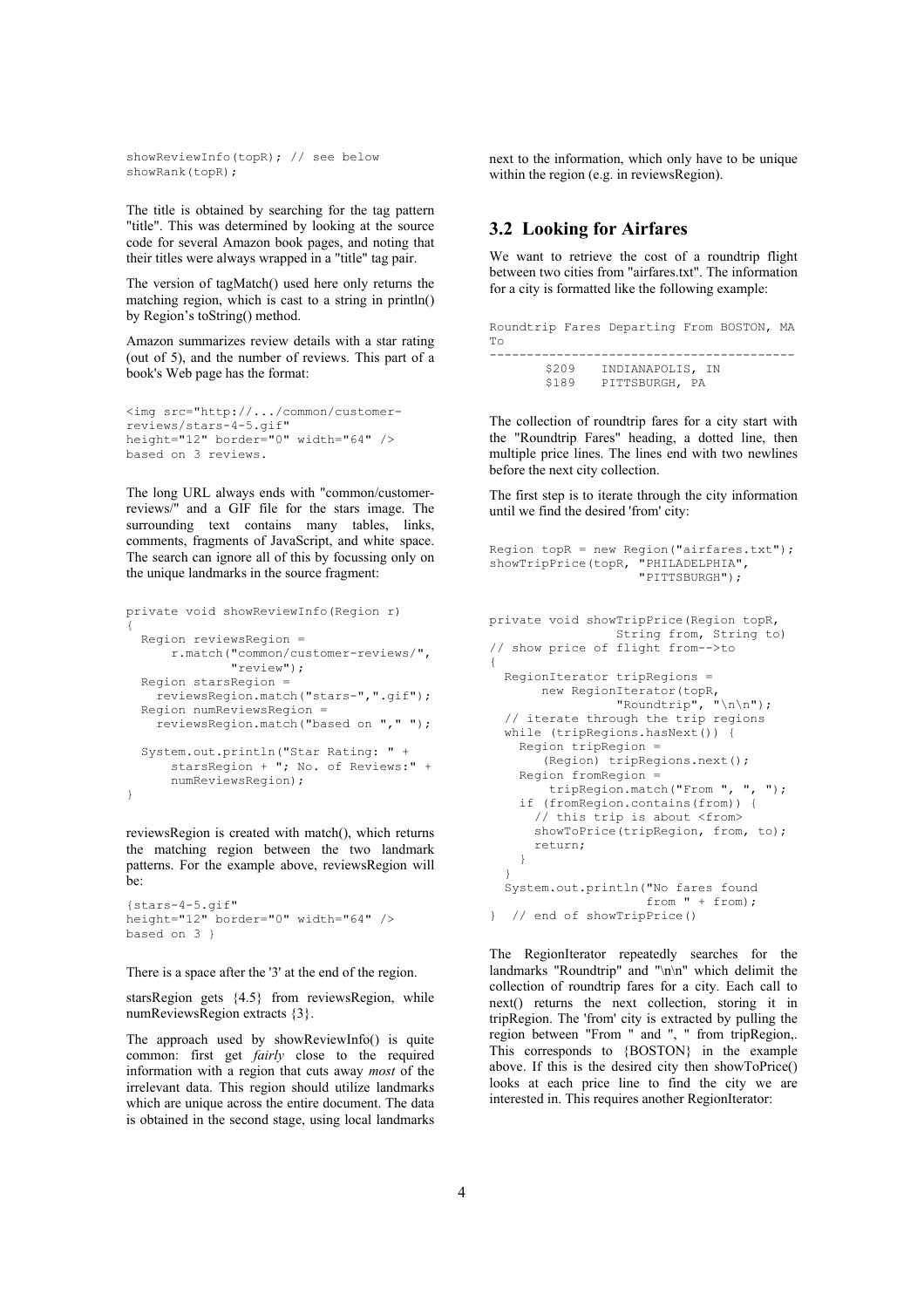showReviewInfo(topR); // see below showRank(topR);

The title is obtained by searching for the tag pattern "title". This was determined by looking at the source code for several Amazon book pages, and noting that their titles were always wrapped in a "title" tag pair.

The version of tagMatch() used here only returns the matching region, which is cast to a string in println() by Region's toString() method.

Amazon summarizes review details with a star rating (out of 5), and the number of reviews. This part of a book's Web page has the format:

```
<img src="http://.../common/customer-
reviews/stars-4-5.gif"
height="12" border="0" width="64" />
based on 3 reviews.
```
The long URL always ends with "common/customerreviews/" and a GIF file for the stars image. The surrounding text contains many tables, links, comments, fragments of JavaScript, and white space. The search can ignore all of this by focussing only on the unique landmarks in the source fragment:

```
private void showReviewInfo(Region r)
{
   Region reviewsRegion =
       r.match("common/customer-reviews/",
               "review");
  Region starsRegion =
     reviewsRegion.match("stars-",".gif");
   Region numReviewsRegion =
     reviewsRegion.match("based on "," ");
   System.out.println("Star Rating: " +
       starsRegion + "; No. of Reviews:" +
       numReviewsRegion);
}
```
reviewsRegion is created with match(), which returns the matching region between the two landmark patterns. For the example above, reviewsRegion will be:

```
{stars-4-5.gif"
height="12" border="0" width="64" />
based on 3 }
```
There is a space after the '3' at the end of the region.

starsRegion gets {4.5} from reviewsRegion, while numReviewsRegion extracts {3}.

The approach used by showReviewInfo() is quite common: first get *fairly* close to the required information with a region that cuts away *most* of the irrelevant data. This region should utilize landmarks which are unique across the entire document. The data is obtained in the second stage, using local landmarks next to the information, which only have to be unique within the region (e.g. in reviewsRegion).

# **3.2 Looking for Airfares**

We want to retrieve the cost of a roundtrip flight between two cities from "airfares.txt". The information for a city is formatted like the following example:

| Tо    |       | Roundtrip Fares Departing From BOSTON, MA |  |  |
|-------|-------|-------------------------------------------|--|--|
| \$189 | \$209 | INDIANAPOLIS, IN<br>PITTSBURGH, PA        |  |  |

The collection of roundtrip fares for a city start with the "Roundtrip Fares" heading, a dotted line, then multiple price lines. The lines end with two newlines before the next city collection.

The first step is to iterate through the city information until we find the desired 'from' city:

```
Region topR = new Region("airfares.txt");
showTripPrice(topR, "PHILADELPHIA",
                     "PITTSBURGH");
```

```
private void showTripPrice(Region topR,
                  String from, String to)
// show price of flight from-->to
{
  RegionIterator tripRegions =
      new RegionIterator(topR,
                 "Roundtrip", "\ln \ln");
   // iterate through the trip regions
   while (tripRegions.hasNext()) {
    Region tripRegion =
        (Region) tripRegions.next();
     Region fromRegion =
         tripRegion.match("From ", ", ");
     if (fromRegion.contains(from)) {
       // this trip is about <from>
      showToPrice(tripRegion, from, to);
       return;
    }
   }
   System.out.println("No fares found
                       from " + from);
} // end of showTripPrice()
```
The RegionIterator repeatedly searches for the landmarks "Roundtrip" and "\n\n" which delimit the collection of roundtrip fares for a city. Each call to next() returns the next collection, storing it in tripRegion. The 'from' city is extracted by pulling the region between "From " and ", " from tripRegion,. This corresponds to {BOSTON} in the example above. If this is the desired city then showToPrice() looks at each price line to find the city we are interested in. This requires another RegionIterator: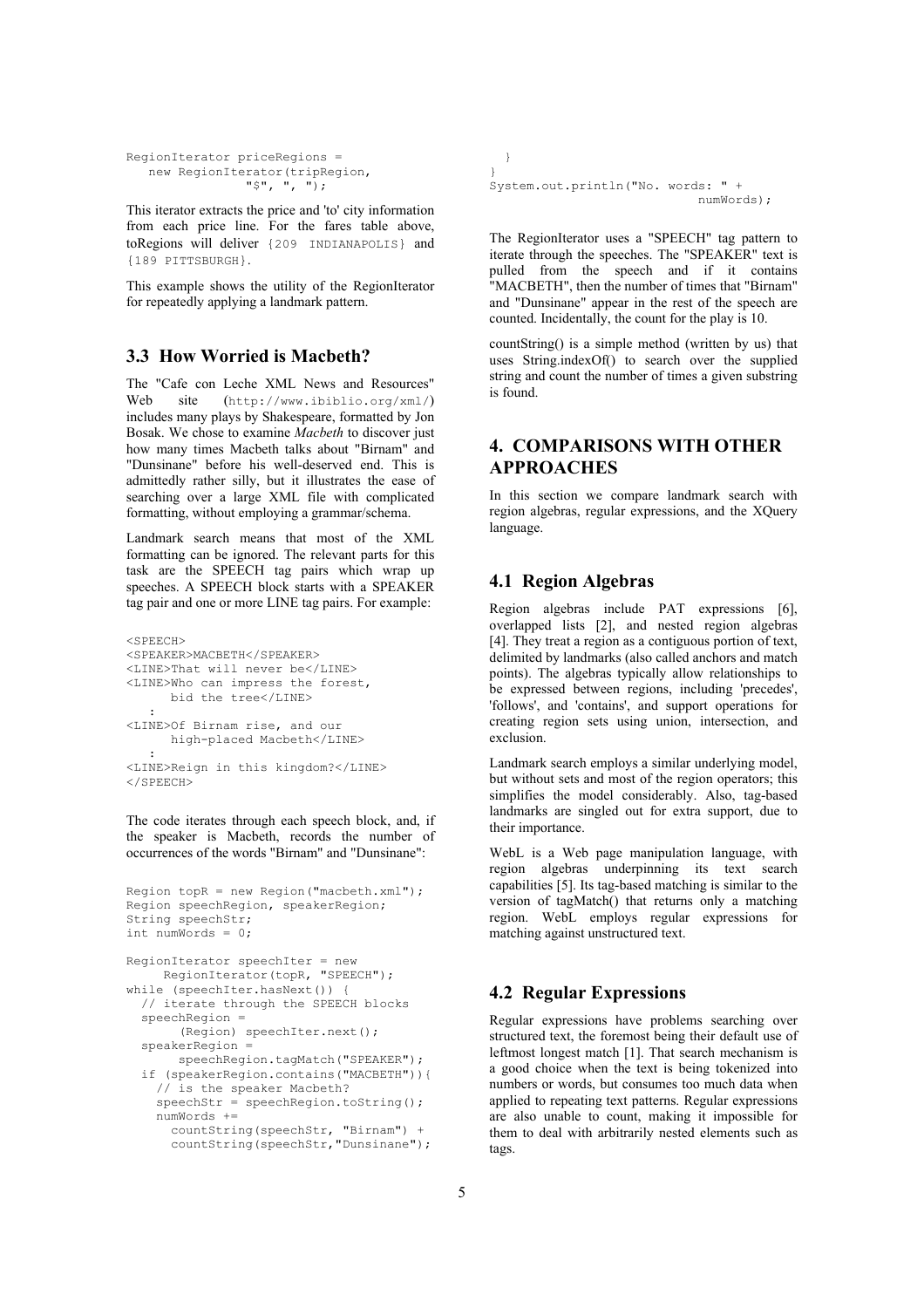```
RegionIterator priceRegions =
   new RegionIterator(tripRegion,
                 "$", ", ");
```
This iterator extracts the price and 'to' city information from each price line. For the fares table above, toRegions will deliver {209 INDIANAPOLIS} and {189 PITTSBURGH}.

This example shows the utility of the RegionIterator for repeatedly applying a landmark pattern.

# **3.3 How Worried is Macbeth?**

The "Cafe con Leche XML News and Resources" Web site (http://www.ibiblio.org/xml/) includes many plays by Shakespeare, formatted by Jon Bosak. We chose to examine *Macbeth* to discover just how many times Macbeth talks about "Birnam" and "Dunsinane" before his well-deserved end. This is admittedly rather silly, but it illustrates the ease of searching over a large XML file with complicated formatting, without employing a grammar/schema.

Landmark search means that most of the XML formatting can be ignored. The relevant parts for this task are the SPEECH tag pairs which wrap up speeches. A SPEECH block starts with a SPEAKER tag pair and one or more LINE tag pairs. For example:

```
<SPEECH>
<SPEAKER>MACBETH</SPEAKER>
<LINE>That will never be</LINE>
<LINE>Who can impress the forest,
     bid the tree</LINE>
 :
<LINE>Of Birnam rise, and our
      high-placed Macbeth</LINE>
    :
<LINE>Reign in this kingdom?</LINE>
</SPEECH>
```
The code iterates through each speech block, and, if the speaker is Macbeth, records the number of occurrences of the words "Birnam" and "Dunsinane":

```
Region topR = new Region("macbeth.xml");
Region speechRegion, speakerRegion;
String speechStr;
int numWords = 0;
RegionIterator speechIter = new
    RegionIterator(topR, "SPEECH");
while (speechIter.hasNext()) {
   // iterate through the SPEECH blocks
   speechRegion =
        (Region) speechIter.next();
   speakerRegion =
      speechRegion.tagMatch("SPEAKER");
   if (speakerRegion.contains("MACBETH")){
     // is the speaker Macbeth?
     speechStr = speechRegion.toString();
     numWords +=
       countString(speechStr, "Birnam") +
       countString(speechStr,"Dunsinane");
```

```
 }
}
System.out.println("No. words: " +
                               numWords);
```
The RegionIterator uses a "SPEECH" tag pattern to iterate through the speeches. The "SPEAKER" text is pulled from the speech and if it contains "MACBETH", then the number of times that "Birnam" and "Dunsinane" appear in the rest of the speech are counted. Incidentally, the count for the play is 10.

countString() is a simple method (written by us) that uses String.indexOf() to search over the supplied string and count the number of times a given substring is found.

# **4. COMPARISONS WITH OTHER APPROACHES**

In this section we compare landmark search with region algebras, regular expressions, and the XQuery language.

# **4.1 Region Algebras**

Region algebras include PAT expressions [6], overlapped lists [2], and nested region algebras [4]. They treat a region as a contiguous portion of text, delimited by landmarks (also called anchors and match points). The algebras typically allow relationships to be expressed between regions, including 'precedes', 'follows', and 'contains', and support operations for creating region sets using union, intersection, and exclusion.

Landmark search employs a similar underlying model, but without sets and most of the region operators; this simplifies the model considerably. Also, tag-based landmarks are singled out for extra support, due to their importance.

WebL is a Web page manipulation language, with region algebras underpinning its text search capabilities [5]. Its tag-based matching is similar to the version of tagMatch() that returns only a matching region. WebL employs regular expressions for matching against unstructured text.

## **4.2 Regular Expressions**

Regular expressions have problems searching over structured text, the foremost being their default use of leftmost longest match [1]. That search mechanism is a good choice when the text is being tokenized into numbers or words, but consumes too much data when applied to repeating text patterns. Regular expressions are also unable to count, making it impossible for them to deal with arbitrarily nested elements such as tags.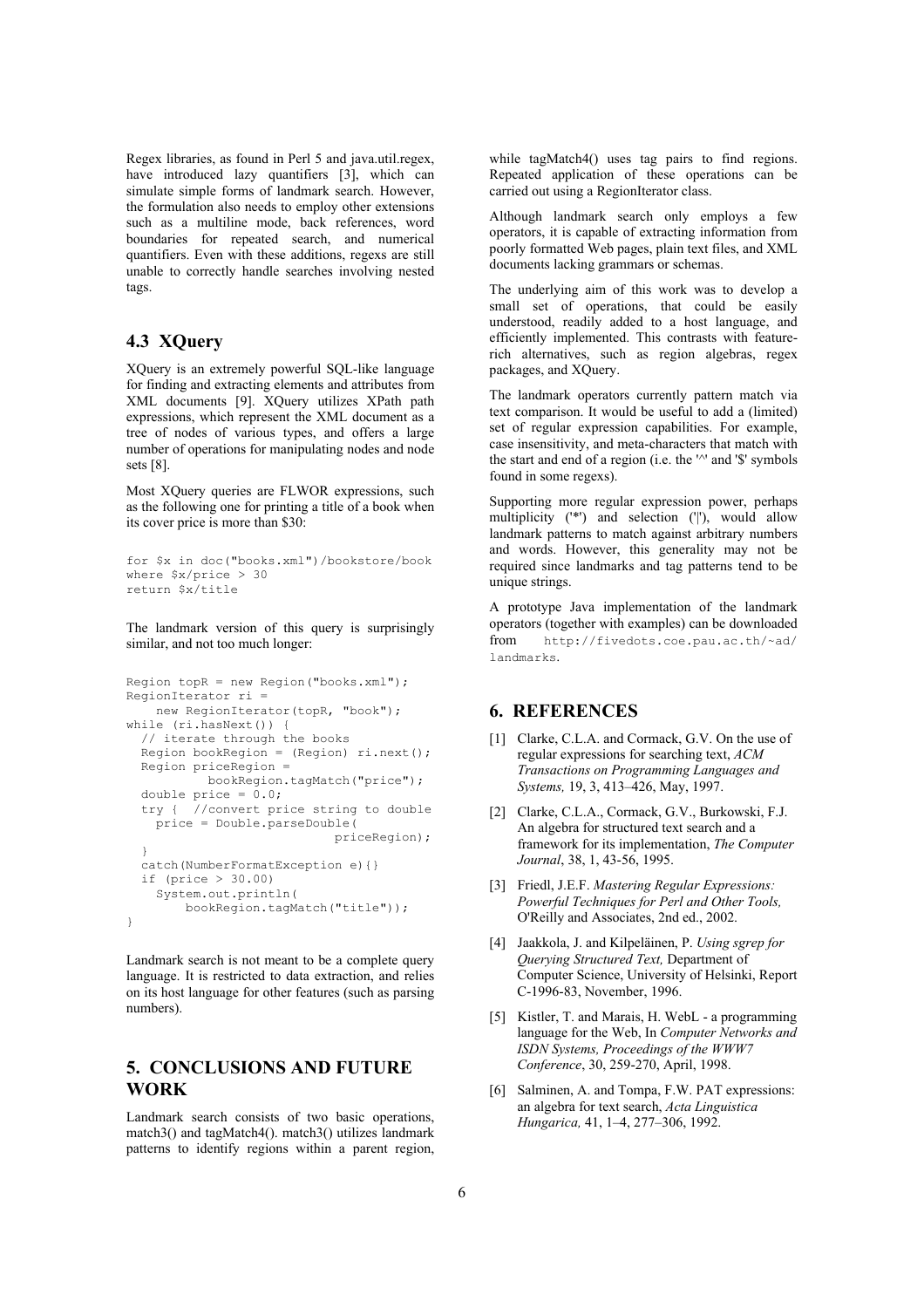Regex libraries, as found in Perl 5 and java.util.regex, have introduced lazy quantifiers [3], which can simulate simple forms of landmark search. However, the formulation also needs to employ other extensions such as a multiline mode, back references, word boundaries for repeated search, and numerical quantifiers. Even with these additions, regexs are still unable to correctly handle searches involving nested tags.

# **4.3 XQuery**

XQuery is an extremely powerful SQL-like language for finding and extracting elements and attributes from XML documents [9]. XQuery utilizes XPath path expressions, which represent the XML document as a tree of nodes of various types, and offers a large number of operations for manipulating nodes and node sets [8].

Most XQuery queries are FLWOR expressions, such as the following one for printing a title of a book when its cover price is more than \$30:

```
for $x in doc("books.xml")/bookstore/book
where $x/price > 30
return $x/title
```
The landmark version of this query is surprisingly similar, and not too much longer:

```
Region topR = new Region("books.xml");
RegionIterator ri =
   new RegionIterator(topR, "book");
while (ri.hasNext()) {
  // iterate through the books
  Region bookRegion = (Region) ri.next();
  Region priceRegion =
           bookRegion.tagMatch("price");
  double price = 0.0;
   try { //convert price string to double
    price = Double.parseDouble(
                             priceRegion);
   }
  catch(NumberFormatException e){}
   if (price > 30.00)
     System.out.println(
         bookRegion.tagMatch("title"));
}
```
Landmark search is not meant to be a complete query language. It is restricted to data extraction, and relies on its host language for other features (such as parsing numbers).

# **5. CONCLUSIONS AND FUTURE WORK**

Landmark search consists of two basic operations. match3() and tagMatch4(). match3() utilizes landmark patterns to identify regions within a parent region,

while tagMatch4() uses tag pairs to find regions. Repeated application of these operations can be carried out using a RegionIterator class.

Although landmark search only employs a few operators, it is capable of extracting information from poorly formatted Web pages, plain text files, and XML documents lacking grammars or schemas.

The underlying aim of this work was to develop a small set of operations, that could be easily understood, readily added to a host language, and efficiently implemented. This contrasts with featurerich alternatives, such as region algebras, regex packages, and XQuery.

The landmark operators currently pattern match via text comparison. It would be useful to add a (limited) set of regular expression capabilities. For example, case insensitivity, and meta-characters that match with the start and end of a region (i.e. the '^' and '\$' symbols found in some regexs).

Supporting more regular expression power, perhaps multiplicity  $(^{*})$  and selection  $(|')$ , would allow landmark patterns to match against arbitrary numbers and words. However, this generality may not be required since landmarks and tag patterns tend to be unique strings.

A prototype Java implementation of the landmark operators (together with examples) can be downloaded from http://fivedots.coe.pau.ac.th/~ad/ landmarks.

## **6. REFERENCES**

- [1] Clarke, C.L.A. and Cormack, G.V. On the use of regular expressions for searching text, *ACM Transactions on Programming Languages and Systems,* 19, 3, 413–426, May, 1997.
- [2] Clarke, C.L.A., Cormack, G.V., Burkowski, F.J. An algebra for structured text search and a framework for its implementation, *The Computer Journal*, 38, 1, 43-56, 1995.
- [3] Friedl, J.E.F. *Mastering Regular Expressions: Powerful Techniques for Perl and Other Tools,* O'Reilly and Associates, 2nd ed., 2002.
- [4] Jaakkola, J. and Kilpeläinen, P. *Using sgrep for Querying Structured Text,* Department of Computer Science, University of Helsinki, Report C-1996-83, November, 1996.
- [5] Kistler, T. and Marais, H. WebL a programming language for the Web, In *Computer Networks and ISDN Systems, Proceedings of the WWW7 Conference*, 30, 259-270, April, 1998.
- [6] Salminen, A. and Tompa, F.W. PAT expressions: an algebra for text search, *Acta Linguistica Hungarica,* 41, 1–4, 277–306, 1992.